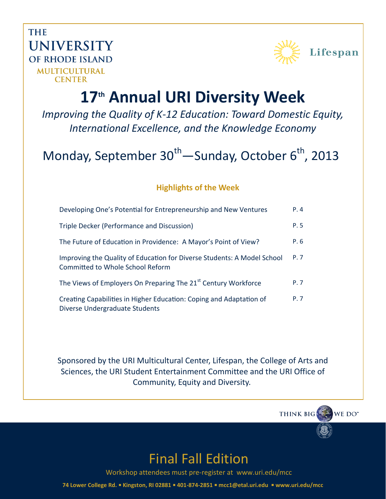**THE UNIVERSITY** OF RHODE ISLAND MULTICULTURAL **CENTER** 



# **17th Annual URI Diversity Week**

*Improving the Quality of K-12 Education: Toward Domestic Equity, International Excellence, and the Knowledge Economy*

# Monday, September  $30^{th}$ —Sunday, October 6<sup>th</sup>, 2013

#### **Highlights of the Week**

| Developing One's Potential for Entrepreneurship and New Ventures                                            | P.4  |
|-------------------------------------------------------------------------------------------------------------|------|
| Triple Decker (Performance and Discussion)                                                                  | P. 5 |
| The Future of Education in Providence: A Mayor's Point of View?                                             | P.6  |
| Improving the Quality of Education for Diverse Students: A Model School<br>Committed to Whole School Reform | P. 7 |
| The Views of Employers On Preparing The 21 <sup>st</sup> Century Workforce                                  | P. 7 |
| Creating Capabilities in Higher Education: Coping and Adaptation of<br>Diverse Undergraduate Students       | P. 7 |

Sponsored by the URI Multicultural Center, Lifespan, the College of Arts and Sciences, the URI Student Entertainment Committee and the URI Office of Community, Equity and Diversity.

> THINK BIG WE DO\*



Workshop attendees must pre-register at www.uri.edu/mcc

**74 Lower College Rd. Kingston, RI 02881 401-874-2851 mcc1@etal.uri.edu www.uri.edu/mcc**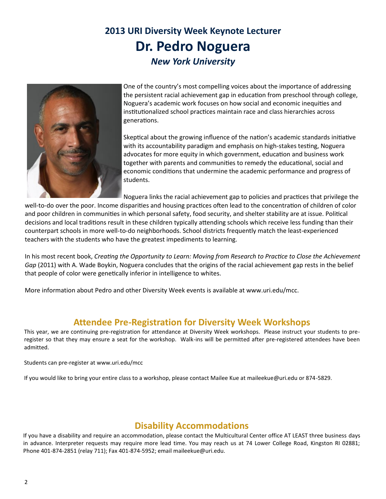### **2013 URI Diversity Week Keynote Lecturer Dr. Pedro Noguera** *New York University*



One of the country's most compelling voices about the importance of addressing the persistent racial achievement gap in education from preschool through college, Noguera's academic work focuses on how social and economic inequities and institutionalized school practices maintain race and class hierarchies across generations.

Skeptical about the growing influence of the nation's academic standards initiative with its accountability paradigm and emphasis on high-stakes testing, Noguera advocates for more equity in which government, education and business work together with parents and communities to remedy the educational, social and economic conditions that undermine the academic performance and progress of students.

Noguera links the racial achievement gap to policies and practices that privilege the

well-to-do over the poor. Income disparities and housing practices often lead to the concentration of children of color and poor children in communities in which personal safety, food security, and shelter stability are at issue. Political decisions and local traditions result in these children typically attending schools which receive less funding than their counterpart schools in more well-to-do neighborhoods. School districts frequently match the least-experienced teachers with the students who have the greatest impediments to learning.

In his most recent book, *Creating the Opportunity to Learn: Moving from Research to Practice to Close the Achievement Gap* (2011) with A. Wade Boykin, Noguera concludes that the origins of the racial achievement gap rests in the belief that people of color were genetically inferior in intelligence to whites.

More information about Pedro and other Diversity Week events is available at www.uri.edu/mcc.

#### **Attendee Pre-Registration for Diversity Week Workshops**

This year, we are continuing pre-registration for attendance at Diversity Week workshops. Please instruct your students to preregister so that they may ensure a seat for the workshop. Walk-ins will be permitted after pre-registered attendees have been admitted.

Students can pre-register at www.uri.edu/mcc

If you would like to bring your entire class to a workshop, please contact Mailee Kue at maileekue@uri.edu or 874-5829.

#### **Disability Accommodations**

If you have a disability and require an accommodation, please contact the Multicultural Center office AT LEAST three business days in advance. Interpreter requests may require more lead time. You may reach us at 74 Lower College Road, Kingston RI 02881; Phone 401-874-2851 (relay 711); Fax 401-874-5952; email maileekue@uri.edu.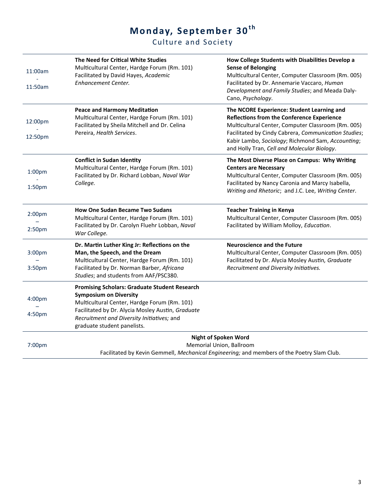### **Mo nday, Se pte mbe r 30th**

#### Culture a nd Society

| 11:00am            | The Need for Critical White Studies<br>Multicultural Center, Hardge Forum (Rm. 101)<br>Facilitated by David Hayes, Academic<br>Enhancement Center.                                                                      | How College Students with Disabilities Develop a<br><b>Sense of Belonging</b><br>Multicultural Center, Computer Classroom (Rm. 005)<br>Facilitated by Dr. Annemarie Vaccaro, Human      |
|--------------------|-------------------------------------------------------------------------------------------------------------------------------------------------------------------------------------------------------------------------|-----------------------------------------------------------------------------------------------------------------------------------------------------------------------------------------|
| 11:50am            |                                                                                                                                                                                                                         | Development and Family Studies; and Meada Daly-<br>Cano, Psychology.                                                                                                                    |
| 12:00pm            | <b>Peace and Harmony Meditation</b><br>Multicultural Center, Hardge Forum (Rm. 101)<br>Facilitated by Sheila Mitchell and Dr. Celina                                                                                    | The NCORE Experience: Student Learning and<br><b>Reflections from the Conference Experience</b><br>Multicultural Center, Computer Classroom (Rm. 005)                                   |
| 12:50pm            | Pereira, Health Services.                                                                                                                                                                                               | Facilitated by Cindy Cabrera, Communication Studies;<br>Kabir Lambo, Sociology; Richmond Sam, Accounting;<br>and Holly Tran, Cell and Molecular Biology.                                |
| 1:00 <sub>pm</sub> | <b>Conflict in Sudan Identity</b><br>Multicultural Center, Hardge Forum (Rm. 101)<br>Facilitated by Dr. Richard Lobban, Naval War                                                                                       | The Most Diverse Place on Campus: Why Writing<br><b>Centers are Necessary</b><br>Multicultural Center, Computer Classroom (Rm. 005)                                                     |
| 1:50pm             | College.                                                                                                                                                                                                                | Facilitated by Nancy Caronia and Marcy Isabella,<br>Writing and Rhetoric; and J.C. Lee, Writing Center.                                                                                 |
| 2:00 <sub>pm</sub> | <b>How One Sudan Became Two Sudans</b><br>Multicultural Center, Hardge Forum (Rm. 101)                                                                                                                                  | <b>Teacher Training in Kenya</b><br>Multicultural Center, Computer Classroom (Rm. 005)                                                                                                  |
| 2:50pm             | Facilitated by Dr. Carolyn Fluehr Lobban, Naval<br>War College.                                                                                                                                                         | Facilitated by William Molloy, Education.                                                                                                                                               |
| 3:00pm<br>3:50pm   | Dr. Martin Luther King Jr: Reflections on the<br>Man, the Speech, and the Dream<br>Multicultural Center, Hardge Forum (Rm. 101)<br>Facilitated by Dr. Norman Barber, Africana<br>Studies; and students from AAF/PSC380. | <b>Neuroscience and the Future</b><br>Multicultural Center, Computer Classroom (Rm. 005)<br>Facilitated by Dr. Alycia Mosley Austin, Graduate<br>Recruitment and Diversity Initiatives. |
| 4:00pm             | <b>Promising Scholars: Graduate Student Research</b><br><b>Symposium on Diversity</b><br>Multicultural Center, Hardge Forum (Rm. 101)                                                                                   |                                                                                                                                                                                         |
| 4:50pm             | Facilitated by Dr. Alycia Mosley Austin, Graduate<br>Recruitment and Diversity Initiatives; and<br>graduate student panelists.                                                                                          |                                                                                                                                                                                         |
| 7:00 <sub>pm</sub> | <b>Night of Spoken Word</b><br>Memorial Union, Ballroom<br>Facilitated by Kevin Gemmell, Mechanical Engineering; and members of the Poetry Slam Club.                                                                   |                                                                                                                                                                                         |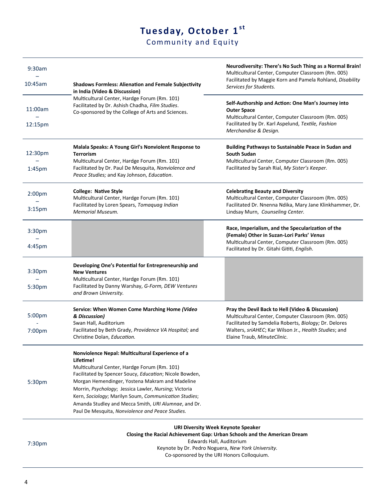## Tuesday, October 1st

Community and Equity

| 9:30am             |                                                                                                                                                      | Neurodiversity: There's No Such Thing as a Normal Brain!<br>Multicultural Center, Computer Classroom (Rm. 005)<br>Facilitated by Maggie Korn and Pamela Rohland, Disability          |
|--------------------|------------------------------------------------------------------------------------------------------------------------------------------------------|--------------------------------------------------------------------------------------------------------------------------------------------------------------------------------------|
| 10:45am            | <b>Shadows Formless: Alienation and Female Subjectivity</b><br>in India (Video & Discussion)                                                         | Services for Students.                                                                                                                                                               |
| 11:00am<br>12:15pm | Multicultural Center, Hardge Forum (Rm. 101)<br>Facilitated by Dr. Ashish Chadha, Film Studies.<br>Co-sponsored by the College of Arts and Sciences. | Self-Authorship and Action: One Man's Journey into<br><b>Outer Space</b><br>Multicultural Center, Computer Classroom (Rm. 005)<br>Facilitated by Dr. Karl Aspelund, Textile, Fashion |
|                    |                                                                                                                                                      | Merchandise & Design.                                                                                                                                                                |
| 12:30pm            | Malala Speaks: A Young Girl's Nonviolent Response to<br><b>Terrorism</b><br>Multicultural Center, Hardge Forum (Rm. 101)                             | <b>Building Pathways to Sustainable Peace in Sudan and</b><br><b>South Sudan</b><br>Multicultural Center, Computer Classroom (Rm. 005)                                               |
| $1:45$ pm          | Facilitated by Dr. Paul De Mesquita, Nonviolence and<br>Peace Studies; and Kay Johnson, Education.                                                   | Facilitated by Sarah Rial, My Sister's Keeper.                                                                                                                                       |
| 2:00 <sub>pm</sub> | <b>College: Native Style</b><br>Multicultural Center, Hardge Forum (Rm. 101)                                                                         | <b>Celebrating Beauty and Diversity</b><br>Multicultural Center, Computer Classroom (Rm. 005)                                                                                        |
| 3:15 <sub>pm</sub> | Facilitated by Loren Spears, Tomaquag Indian<br>Memorial Museum.                                                                                     | Facilitated Dr. Nnenna Ndika, Mary Jane Klinkhammer, Dr.<br>Lindsay Murn, Counseling Center.                                                                                         |
| 3:30 <sub>pm</sub> |                                                                                                                                                      | Race, Imperialism, and the Specularization of the<br>(Female) Other in Suzan-Lori Parks' Venus                                                                                       |
| 4:45pm             |                                                                                                                                                      | Multicultural Center, Computer Classroom (Rm. 005)<br>Facilitated by Dr. Gitahi Gititi, English.                                                                                     |
| 3:30 <sub>pm</sub> | Developing One's Potential for Entrepreneurship and<br><b>New Ventures</b>                                                                           |                                                                                                                                                                                      |
| 5:30pm             | Multicultural Center, Hardge Forum (Rm. 101)<br>Facilitated by Danny Warshay, G-Form, DEW Ventures<br>and Brown University.                          |                                                                                                                                                                                      |
| 5:00pm             | Service: When Women Come Marching Home (Video<br>& Discussion)                                                                                       | Pray the Devil Back to Hell (Video & Discussion)<br>Multicultural Center, Computer Classroom (Rm. 005)                                                                               |
| 7:00 <sub>pm</sub> | Swan Hall, Auditorium<br>Facilitated by Beth Grady, Providence VA Hospital; and<br>Christine Dolan, Education.                                       | Facilitated by Samdelia Roberts, Biology; Dr. Delores<br>Walters, sriAHEC; Kar Wilson Jr., Health Studies; and<br>Elaine Traub, MinuteClinic.                                        |
|                    | Nonviolence Nepal: Multicultural Experience of a<br>Lifetime!                                                                                        |                                                                                                                                                                                      |
|                    | Multicultural Center, Hardge Forum (Rm. 101)<br>Facilitated by Spencer Soucy, Education; Nicole Bowden,                                              |                                                                                                                                                                                      |
| 5:30pm             | Morgan Hemendinger, Yostena Makram and Madeline<br>Morrin, Psychology; Jessica Lawler, Nursing; Victoria                                             |                                                                                                                                                                                      |
|                    | Kern, Sociology; Marilyn Soum, Communication Studies;                                                                                                |                                                                                                                                                                                      |
|                    | Amanda Studley and Mecca Smith, URI Alumnae, and Dr.<br>Paul De Mesquita, Nonviolence and Peace Studies.                                             |                                                                                                                                                                                      |
|                    |                                                                                                                                                      | <b>URI Diversity Week Keynote Speaker</b>                                                                                                                                            |

**Closing the Racial Achievement Gap: Urban Schools and the American Dream**

7:30pm

Edwards Hall, Auditorium Keynote by Dr. Pedro Noguera, *New York University.*

Co-sponsored by the URI Honors Colloquium.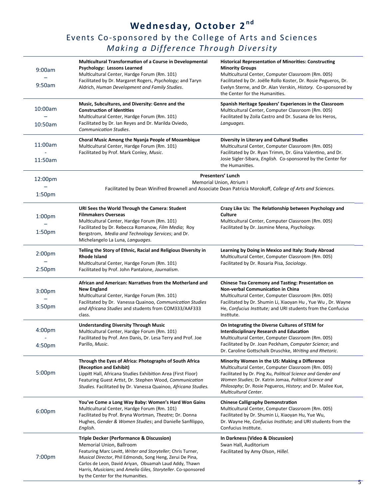### **We dnesday, October 2 nd** Events Co-sponsored by the College of Arts and Sciences *Making a Difference Through Diversity*

| 9:00am<br>9:50am                         | Multicultural Transformation of a Course in Developmental<br>Psychology: Lessons Learned<br>Multicultural Center, Hardge Forum (Rm. 101)<br>Facilitated by Dr. Margaret Rogers, Psychology; and Taryn<br>Aldrich, Human Development and Family Studies.                                                                                                                       | <b>Historical Representation of Minorities: Constructing</b><br><b>Minority Groups</b><br>Multicultural Center, Computer Classroom (Rm. 005)<br>Facilitated by Dr. Joëlle Rollo Koster, Dr. Rosie Pegueros, Dr.<br>Evelyn Sterne, and Dr. Alan Verskin, History. Co-sponsored by<br>the Center for the Humanities.     |
|------------------------------------------|-------------------------------------------------------------------------------------------------------------------------------------------------------------------------------------------------------------------------------------------------------------------------------------------------------------------------------------------------------------------------------|------------------------------------------------------------------------------------------------------------------------------------------------------------------------------------------------------------------------------------------------------------------------------------------------------------------------|
| 10:00am<br>10:50am                       | Music, Subcultures, and Diversity: Genre and the<br><b>Construction of Identities</b><br>Multicultural Center, Hardge Forum (Rm. 101)<br>Facilitated by Dr. Ian Reyes and Dr. Marilda Oviedo,<br>Communication Studies.                                                                                                                                                       | Spanish Heritage Speakers' Experiences in the Classroom<br>Multicultural Center, Computer Classroom (Rm. 005)<br>Facilitated by Zoila Castro and Dr. Susana de los Heros,<br>Languages.                                                                                                                                |
| 11:00am<br>11:50am                       | Choral Music Among the Nyanja People of Mozambique<br>Multicultural Center, Hardge Forum (Rm. 101)<br>Facilitated by Prof. Mark Conley, Music.                                                                                                                                                                                                                                | <b>Diversity in Literary and Cultural Studies</b><br>Multicultural Center, Computer Classroom (Rm. 005)<br>Facilitated by Dr. Ryan Trimm, Dr. Gina Valentino, and Dr.<br>Josie Sigler-Sibara, English. Co-sponsored by the Center for<br>the Humanities.                                                               |
| 12:00pm<br>1:50 <sub>pm</sub>            |                                                                                                                                                                                                                                                                                                                                                                               | Presenters' Lunch<br>Memorial Union, Atrium I<br>Facilitated by Dean Winifred Brownell and Associate Dean Patricia Morokoff, College of Arts and Sciences.                                                                                                                                                             |
| 1:00 <sub>pm</sub><br>1:50 <sub>pm</sub> | URI Sees the World Through the Camera: Student<br><b>Filmmakers Overseas</b><br>Multicultural Center, Hardge Forum (Rm. 101)<br>Facilitated by Dr. Rebecca Romanow, Film Media; Roy<br>Bergstrom, Media and Technology Services; and Dr.<br>Michelangelo La Luna, Languages.                                                                                                  | Crazy Like Us: The Relationship between Psychology and<br>Culture<br>Multicultural Center, Computer Classroom (Rm. 005)<br>Facilitated by Dr. Jasmine Mena, Psychology.                                                                                                                                                |
| 2:00 <sub>pm</sub><br>2:50 <sub>pm</sub> | Telling the Story of Ethnic, Racial and Religious Diversity in<br><b>Rhode Island</b><br>Multicultural Center, Hardge Forum (Rm. 101)<br>Facilitated by Prof. John Pantalone, Journalism.                                                                                                                                                                                     | Learning by Doing in Mexico and Italy: Study Abroad<br>Multicultural Center, Computer Classroom (Rm. 005)<br>Facilitated by Dr. Rosaria Pisa, Sociology.                                                                                                                                                               |
| 3:00pm<br>3:50pm                         | African and American: Narratives from the Motherland and<br><b>New England</b><br>Multicultural Center, Hardge Forum (Rm. 101)<br>Facilitated by Dr. Vanessa Quainoo, Communication Studies<br>and Africana Studies and students from COM333/AAF333<br>class.                                                                                                                 | <b>Chinese Tea Ceremony and Tasting: Presentation on</b><br>Non-verbal Communication in China<br>Multicultural Center, Computer Classroom (Rm. 005)<br>Facilitated by Dr. Shumin Li, Xiaoyan Hu, Yue Wu, Dr. Wayne<br>He, Confucius Institute; and URI students from the Confucius<br>Institute.                       |
| 4:00pm<br>4:50pm                         | <b>Understanding Diversity Through Music</b><br>Multicultural Center, Hardge Forum (Rm. 101)<br>Facilitated by Prof. Ann Danis, Dr. Lesa Terry and Prof. Joe<br>Parillo, Music.                                                                                                                                                                                               | On Integrating the Diverse Cultures of STEM for<br><b>Interdisciplinary Research and Education</b><br>Multicultural Center, Computer Classroom (Rm. 005)<br>Facilitated by Dr. Joan Peckham, Computer Science; and<br>Dr. Caroline Gottschalk Druschke, Writing and Rhetoric.                                          |
| 5:00pm                                   | Through the Eyes of Africa: Photographs of South Africa<br>(Reception and Exhibit)<br>Lippitt Hall, Africana Studies Exhibition Area (First Floor)<br>Featuring Guest Artist, Dr. Stephen Wood, Communication<br>Studies. Facilitated by Dr. Vanessa Quainoo, Africana Studies.                                                                                               | Minority Women in the US: Making a Difference<br>Multicultural Center, Computer Classroom (Rm. 005)<br>Facilitated by Dr. Ping Xu, Political Science and Gender and<br>Women Studies; Dr. Katrin Jomaa, Political Science and<br>Philosophy; Dr. Rosie Pegueros, History; and Dr. Mailee Kue,<br>Multicultural Center. |
| 6:00pm                                   | You've Come a Long Way Baby: Women's Hard Won Gains<br>Multicultural Center, Hardge Forum (Rm. 101)<br>Facilitated by Prof. Bryna Wortman, Theatre; Dr. Donna<br>Hughes, Gender & Women Studies; and Danielle Sanfilippo,<br>English.                                                                                                                                         | <b>Chinese Calligraphy Demonstration</b><br>Multicultural Center, Computer Classroom (Rm. 005)<br>Facilitated by Dr. Shumin Li, Xiaoyan Hu, Yue Wu,<br>Dr. Wayne He, Confucius Institute; and URI students from the<br>Confucius Institute.                                                                            |
| 7:00pm                                   | <b>Triple Decker (Performance &amp; Discussion)</b><br>Memorial Union, Ballroom<br>Featuring Marc Levitt, Writer and Storyteller; Chris Turner,<br>Musical Director, Phil Edmonds, Song Heng, Zerui De Pina,<br>Carlos de Leon, David Ariyan, Obuamah Laud Addy, Thawn<br>Harris, Musicians; and Amelia Giles, Storyteller. Co-sponsored<br>by the Center for the Humanities. | In Darkness (Video & Discussion)<br>Swan Hall, Auditorium<br>Facilitated by Amy Olson, Hillel.                                                                                                                                                                                                                         |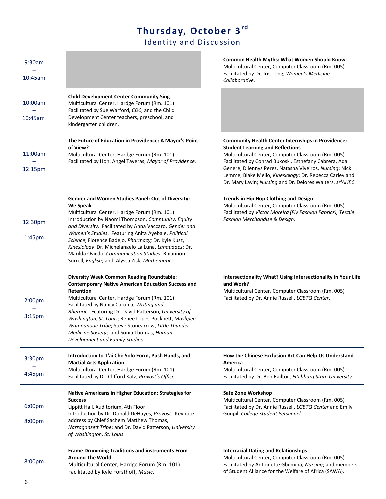### **Thursday, Octobe r 3rd**

Iden tity and Discu ssion

| 9:30am<br>10:45am                        |                                                                                                                                                                                                                                                                                                                                                                                                                                                                                                          | Common Health Myths: What Women Should Know<br>Multicultural Center, Computer Classroom (Rm. 005)<br>Facilitated by Dr. Iris Tong, Women's Medicine<br>Collaborative.                                                                                                                                                                                                                                  |
|------------------------------------------|----------------------------------------------------------------------------------------------------------------------------------------------------------------------------------------------------------------------------------------------------------------------------------------------------------------------------------------------------------------------------------------------------------------------------------------------------------------------------------------------------------|--------------------------------------------------------------------------------------------------------------------------------------------------------------------------------------------------------------------------------------------------------------------------------------------------------------------------------------------------------------------------------------------------------|
| 10:00am<br>10:45am                       | <b>Child Development Center Community Sing</b><br>Multicultural Center, Hardge Forum (Rm. 101)<br>Facilitated by Sue Warford, CDC; and the Child<br>Development Center teachers, preschool, and<br>kindergarten children.                                                                                                                                                                                                                                                                                |                                                                                                                                                                                                                                                                                                                                                                                                        |
| 11:00am<br>12:15pm                       | The Future of Education in Providence: A Mayor's Point<br>of View?<br>Multicultural Center, Hardge Forum (Rm. 101)<br>Facilitated by Hon. Angel Taveras, Mayor of Providence.                                                                                                                                                                                                                                                                                                                            | <b>Community Health Center Internships in Providence:</b><br><b>Student Learning and Reflections</b><br>Multicultural Center, Computer Classroom (Rm. 005)<br>Facilitated by Conrad Bukoski, Esthefany Cabrera, Ada<br>Genere, Dilennys Perez, Natasha Viveiros, Nursing; Nick<br>Lemme, Blake Mello, Kinesiology; Dr. Rebecca Carley and<br>Dr. Mary Lavin; Nursing and Dr. Delores Walters, sriAHEC. |
| 12:30pm<br>1:45pm                        | Gender and Women Studies Panel: Out of Diversity:<br>We Speak<br>Multicultural Center, Hardge Forum (Rm. 101)<br>Introduction by Naomi Thompson, Community, Equity<br>and Diversity. Facilitated by Anna Vaccaro, Gender and<br>Women's Studies. Featuring Anita Ayebale, Political<br>Science; Florence Badejo, Pharmacy; Dr. Kyle Kusz,<br>Kinesiology; Dr. Michelangelo La Luna, Languages; Dr.<br>Marilda Oviedo, Communication Studies; Rhiannon<br>Sorrell, English; and Alyssa Zisk, Mathematics. | Trends in Hip Hop Clothing and Design<br>Multicultural Center, Computer Classroom (Rm. 005)<br>Facilitated by Victor Moreira (Fly Fashion Fabrics), Textile<br>Fashion Merchandise & Design.                                                                                                                                                                                                           |
| 2:00 <sub>pm</sub><br>3:15 <sub>pm</sub> | <b>Diversity Week Common Reading Roundtable:</b><br><b>Contemporary Native American Education Success and</b><br>Retention<br>Multicultural Center, Hardge Forum (Rm. 101)<br>Facilitated by Nancy Caronia, Writing and<br>Rhetoric. Featuring Dr. David Patterson, University of<br>Washington, St. Louis; Renée Lopes-Pocknett, Mashpee<br>Wampanoag Tribe; Steve Stonearrow, Little Thunder<br>Medicine Society; and Sonia Thomas, Human<br>Development and Family Studies.                           | Intersectionality What? Using Intersectionality in Your Life<br>and Work?<br>Multicultural Center, Computer Classroom (Rm. 005)<br>Facilitated by Dr. Annie Russell, LGBTQ Center.                                                                                                                                                                                                                     |
| 3:30pm<br>4:45pm                         | Introduction to T'ai Chi: Solo Form, Push Hands, and<br><b>Martial Arts Application</b><br>Multicultural Center, Hardge Forum (Rm. 101)<br>Facilitated by Dr. Clifford Katz, Provost's Office.                                                                                                                                                                                                                                                                                                           | How the Chinese Exclusion Act Can Help Us Understand<br>America<br>Multicultural Center, Computer Classroom (Rm. 005)<br>Facilitated by Dr. Ben Railton, Fitchburg State University.                                                                                                                                                                                                                   |
| 6:00pm<br>8:00pm                         | Native Americans in Higher Education: Strategies for<br><b>Success</b><br>Lippitt Hall, Auditorium, 4th Floor<br>Introduction by Dr. Donald DeHayes, Provost. Keynote<br>address by Chief Sachem Matthew Thomas,<br>Narragansett Tribe; and Dr. David Patterson, University<br>of Washington, St. Louis.                                                                                                                                                                                                 | Safe Zone Workshop<br>Multicultural Center, Computer Classroom (Rm. 005)<br>Facilitated by Dr. Annie Russell, LGBTQ Center and Emily<br>Goupil, College Student Personnel.                                                                                                                                                                                                                             |
| 8:00pm                                   | <b>Frame Drumming Traditions and instruments From</b><br><b>Around The World</b><br>Multicultural Center, Hardge Forum (Rm. 101)<br>Facilitated by Kyle Forsthoff, Music.                                                                                                                                                                                                                                                                                                                                | <b>Interracial Dating and Relationships</b><br>Multicultural Center, Computer Classroom (Rm. 005)<br>Facilitated by Antoinette Gbomina, Nursing; and members<br>of Student Alliance for the Welfare of Africa (SAWA).                                                                                                                                                                                  |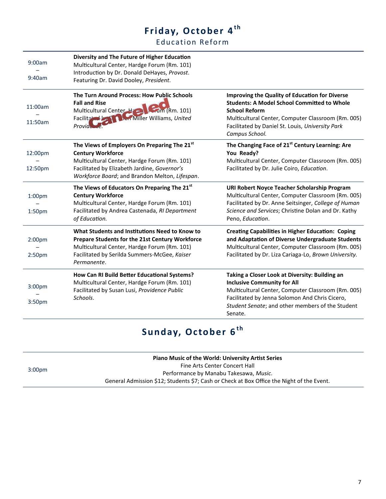# Friday, October 4<sup>th</sup>

Education Refor m

| 9:00am<br>9:40am                         | Diversity and The Future of Higher Education<br>Multicultural Center, Hardge Forum (Rm. 101)<br>Introduction by Dr. Donald DeHayes, Provost.<br>Featuring Dr. David Dooley, President.                                     |                                                                                                                                                                                                                                                                 |
|------------------------------------------|----------------------------------------------------------------------------------------------------------------------------------------------------------------------------------------------------------------------------|-----------------------------------------------------------------------------------------------------------------------------------------------------------------------------------------------------------------------------------------------------------------|
| 11:00am<br>11:50am                       | The Turn Around Process: How Public Schools<br><b>Fall and Rise</b><br>Multicultural Center H 2 Min (Rm. 101)<br><b>Ner Miller Williams</b> , United<br><b>Facilitate</b><br>Provia.                                       | <b>Improving the Quality of Education for Diverse</b><br><b>Students: A Model School Committed to Whole</b><br><b>School Reform</b><br>Multicultural Center, Computer Classroom (Rm. 005)<br>Facilitated by Daniel St. Louis, University Park<br>Campus School. |
| 12:00pm<br>12:50pm                       | The Views of Employers On Preparing The 21st<br><b>Century Workforce</b><br>Multicultural Center, Hardge Forum (Rm. 101)<br>Facilitated by Elizabeth Jardine, Governor's<br>Workforce Board; and Brandon Melton, Lifespan. | The Changing Face of 21 <sup>st</sup> Century Learning: Are<br>You Ready?<br>Multicultural Center, Computer Classroom (Rm. 005)<br>Facilitated by Dr. Julie Coiro, Education.                                                                                   |
| 1:00 <sub>pm</sub><br>1:50 <sub>pm</sub> | The Views of Educators On Preparing The 21st<br><b>Century Workforce</b><br>Multicultural Center, Hardge Forum (Rm. 101)<br>Facilitated by Andrea Castenada, RI Department<br>of Education.                                | URI Robert Noyce Teacher Scholarship Program<br>Multicultural Center, Computer Classroom (Rm. 005)<br>Facilitated by Dr. Anne Seitsinger, College of Human<br>Science and Services; Christine Dolan and Dr. Kathy<br>Peno, Education.                           |
| 2:00 <sub>pm</sub><br>2:50 <sub>pm</sub> | What Students and Institutions Need to Know to<br>Prepare Students for the 21st Century Workforce<br>Multicultural Center, Hardge Forum (Rm. 101)<br>Facilitated by Serilda Summers-McGee, Kaiser<br>Permanente.           | <b>Creating Capabilities in Higher Education: Coping</b><br>and Adaptation of Diverse Undergraduate Students<br>Multicultural Center, Computer Classroom (Rm. 005)<br>Facilitated by Dr. Liza Cariaga-Lo, Brown University.                                     |
| 3:00pm<br>3:50 <sub>pm</sub>             | How Can RI Build Better Educational Systems?<br>Multicultural Center, Hardge Forum (Rm. 101)<br>Facilitated by Susan Lusi, Providence Public<br>Schools.                                                                   | Taking a Closer Look at Diversity: Building an<br><b>Inclusive Community for All</b><br>Multicultural Center, Computer Classroom (Rm. 005)<br>Facilitated by Jenna Solomon And Chris Cicero,<br>Student Senate; and other members of the Student<br>Senate.     |

## Sunday, October 6<sup>th</sup>

3:00pm

**Piano Music of the World: University Artist Series** Fine Arts Center Concert Hall Performance by Manabu Takesawa, *Music*. General Admission \$12; Students \$7; Cash or Check at Box Office the Night of the Event.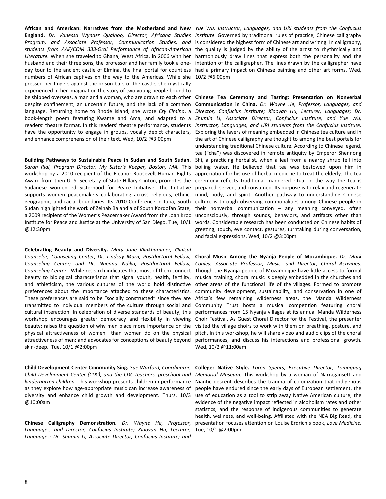**England.** *Dr. Vanessa Wynder Quainoo, Director, Africana Studies Program, and Associate Professor, Communication Studies, and students from AAF/COM 333-Oral Performance of African-American Literature.* When she traveled to Ghana, West Africa, in 2006 with her husband and their three sons, the professor and her family took a oneday tour to the ancient castle of Elmina, the final portal for countless numbers of African captives on the way to the Americas. While she pressed her fingers against the prison bars of the castle, she mystically experienced in her imagination the story of two young people bound to be shipped overseas, a man and a woman, who are drawn to each other despite confinement, an uncertain future, and the lack of a common language. Returning home to Rhode Island, she wrote *Cry Elmina*, a book-length poem featuring Kwame and Ama, and adapted to a readers' theatre format. In this readers' theatre performance, students have the opportunity to engage in groups, vocally depict characters, and enhance comprehension of their text. Wed, 10/2 @3:00pm

**Building Pathways to Sustainable Peace in Sudan and South Sudan.**  Sarah Rial, Program Director, My Sister's Keeper, Boston, MA. This workshop by a 2010 recipient of the Eleanor Roosevelt Human Rights Award from then-U. S. Secretary of State Hillary Clinton, promotes the Sudanese women-led Sisterhood for Peace Initiative. The Initiative supports women peacemakers collaborating across religious, ethnic, geographic, and racial boundaries. Its 2010 Conference in Juba, South Sudan highlighted the work of Zeinab Balandia of South Kordofan State, a 2009 recipient of the Women's Peacemaker Award from the Joan Kroc Institute for Peace and Justice at the University of San Diego. Tue, 10/1 @12:30pm

**Celebrating Beauty and Diversity.** *Mary Jane Klinkhammer, Clinical Counselor, Counseling Center; Dr. Lindsay Murn, Postdoctoral Fellow, Counseling Center; and Dr. Nnenna Ndika, Postdoctoral Fellow, Counseling Center.* While research indicates that most of them connect beauty to biological characteristics that signal youth, health, fertility, and athleticism, the various cultures of the world hold distinctive preferences about the importance attached to these characteristics. These preferences are said to be "socially constructed" since they are transmitted to individual members of the culture through social and cultural interaction. In celebration of diverse standards of beauty, this workshop encourages greater democracy and flexibility in viewing beauty; raises the question of why men place more importance on the physical attractiveness of women than women do on the physical attractiveness of men; and advocates for conceptions of beauty beyond skin-deep. Tue, 10/1 @2:00pm

**Child Development Center Community Sing.** *Sue Warford, Coordinator, Child Development Center (CDC), and the CDC teachers, preschool and kindergarten children.* This workshop presents children in performance as they explore how age-appropriate music can increase awareness of diversity and enhance child growth and development. Thurs, 10/3 @10:00am

**Chinese Calligraphy Demonstration.** *Dr. Wayne He, Professor, Languages, and Director, Confucius Institute; Xiaoyan Hu, Lecturer, Languages; Dr. Shumin Li, Associate Director, Confucius Institute; and* 

**African and American: Narratives from the Motherland and New**  *Yue Wu, Instructor, Languages, and URI students from the Confucius Institute.* Governed by traditional rules of practice, Chinese calligraphy is considered the highest form of Chinese art and writing. In calligraphy, the quality is judged by the ability of the artist to rhythmically and harmoniously draw lines that express both the personality and the intention of the calligrapher. The lines drawn by the calligrapher have had a primary impact on Chinese painting and other art forms. Wed, 10/2 @6:00pm

> **Chinese Tea Ceremony and Tasting: Presentation on Nonverbal Communication in China.** *Dr. Wayne He, Professor, Languages, and Director, Confucius Institute; Xiaoyan Hu, Lecturer, Languages; Dr. Shumin Li, Associate Director, Confucius Institute; and Yue Wu, Instructor, Languages, and URI students from the Confucius Institute.*  Exploring the layers of meaning embedded in Chinese tea culture and in the art of Chinese calligraphy are thought to among the best portals for understanding traditional Chinese culture. According to Chinese legend, tea ("cha") was discovered in remote antiquity by Emperor Shennong Shi, a practicing herbalist, when a leaf from a nearby shrub fell into boiling water. He believed that tea was bestowed upon him in appreciation for his use of herbal medicine to treat the elderly. The tea ceremony reflects traditional mannered ritual in the way the tea is prepared, served, and consumed. Its purpose is to relax and regenerate mind, body, and spirit. Another pathway to understanding Chinese culture is through observing commonalities among Chinese people in their nonverbal communication – any meaning conveyed, often unconsciously, through sounds, behaviors, and artifacts other than words. Considerable research has been conducted on Chinese habits of greeting, touch, eye contact, gestures, turntaking during conversation, and facial expressions. Wed, 10/2 @3:00pm

> **Choral Music Among the Nyanja People of Mozambique.** *Dr. Mark Conley, Associate Professor, Music, and Director, Choral Activities.*  Though the Nyanja people of Mozambique have little access to formal musical training, choral music is deeply embedded in the churches and other areas of the functional life of the villages. Formed to promote community development, sustainability, and conservation in one of Africa's few remaining wilderness areas, the Manda Wilderness Community Trust hosts a musical competition featuring choral performances from 15 Nyanja villages at its annual Manda Wilderness Choir Festival. As Guest Choral Director for the Festival, the presenter visited the village choirs to work with them on breathing, posture, and pitch. In this workshop, he will share video and audio clips of the choral performances, and discuss his interactions and professional growth. Wed, 10/2 @11:00am

> **College: Native Style.** *Loren Spears, Executive Director, Tomaquag Memorial Museum.* This workshop by a woman of Narragansett and Niantic descent describes the trauma of colonization that indigenous people have endured since the early days of European settlement, the use of education as a tool to strip away Native American culture, the evidence of the negative impact reflected in alcoholism rates and other statistics, and the response of indigenous communities to generate health, wellness, and well-being. Affiliated with the NEA Big Read, the presentation focuses attention on Louise Erdrich's book, *Love Medicine.* Tue, 10/1 @2:00pm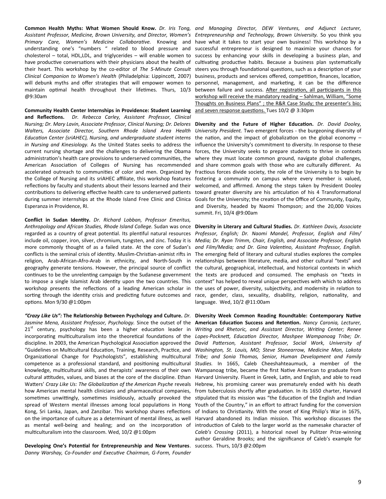*Assistant Professor, Medicine, Brown University, and Director, Women's Primary Care, Women's Medicine Collaborative.* Knowing and understanding one's "numbers " related to blood pressure and cholesterol – total, HDL,LDL, and triglycerides – will enable women to have productive conversations with their physicians about the health of their heart. This workshop by the co-editor of *The 5-Minute Consult Clinical Companion to Women's Health* (Philadelphia: Lippincott, 2007) will debunk myths and offer strategies that will empower women to maintain optimal health throughout their lifetimes. Thurs, 10/3 @9:30am

**Community Health Center Internships in Providence: Student Learning and Reflections.** *Dr. Rebecca Carley, Assistant Professor, Clinical Nursing; Dr. Mary Lavin, Associate Professor, Clinical Nursing; Dr. Delores Walters, Associate Director, Southern Rhode Island Area Health Education Center (sriAHEC), Nursing, and undergraduate student interns in Nursing and Kinesiology.* As the United States seeks to address the current nursing shortage and the challenges to delivering the Obama administration's health care provisions to underserved communities, the American Association of Colleges of Nursing has recommended accelerated outreach to communities of color and men. Organized by the College of Nursing and its sriAHEC affiliate, this workshop features reflections by faculty and students about their lessons learned and their contributions to delivering effective health care to underserved patients during summer internships at the Rhode Island Free Clinic and Clinica Esperanza in Providence, RI.

**Conflict in Sudan Identity.** *Dr. Richard Lobban, Professor Emeritus, Anthropology and African Studies, Rhode Island College.* Sudan was once **Diversity in Literary and Cultural Studies.** *Dr. Kathleen Davis, Associate*  regarded as a country of great potential. Its plentiful natural resources Professor, English; Dr. Naomi Mandel, Professor, English and Film/ include oil, copper, iron, silver, chromium, tungsten, and zinc. Today it is *Media; Dr. Ryan Trimm, Chair, English, and Associate Professor, English*  more commonly thought of as a failed state. At the core of Sudan's *and Film/Media; and Dr. Gina Valentino, Assistant Professor, English.*  conflicts is the seminal crisis of identity. Muslim-Christian-animist rifts in The emerging field of literary and cultural studies explores the complex religion, Arab-African-Afro-Arab in ethnicity, and North-South in relationships between-literature, media, andother cultural "texts" and geography generate tensions. However, the principal source of conflict the cultural, geographical, intellectual, and historical contexts in which continues to be the unrelenting campaign by the Sudanese government the texts are produced and consumed. The emphasis on "texts in to impose a single Islamist Arab identity upon the two countries. This context" has helped to reveal unique perspectives with which to address workshop presents the reflections of a leading American scholar in the uses of power, diversity, subjectivity, and modernity in relation to sorting through the identity crisis and predicting future outcomes and race, gender, class, sexuality, disability, religion, nationality, and options. Mon 9/30 @1:00pm

*"Crazy Like Us":* **The Relationship Between Psychology and Culture.** *Dr. Jasmine Mena, Assistant Professor, Psychology.* Since the outset of the  $21<sup>st</sup>$  century, psychology has been a higher education leader in incorporating multiculturalism into the theoretical foundations of the discipline. In 2003, the American Psychological Association approved the "Guidelines on Multicultural Education, Training, Research, Practice, and Organizational Change for Psychologists", establishing multicultural competence as a professional standard, and positioning multicultural knowledge, multicultural skills, and therapists' awareness of their own cultural attitudes, values, and biases at the core of the discipline. Ethan Watters' *Crazy Like Us: The Globalization of the American Psyche* reveals how American mental health clinicians and pharmaceutical companies, sometimes unwittingly, sometimes insidiously, actually provoked the spread of Western mental illnesses among local populations in Hong Kong, Sri Lanka, Japan, and Zanzibar. This workshop shares reflections on the importance of culture as a determinant of mental illness, as well as mental well-being and healing; and on the incorporation of multiculturalism into the classroom. Wed, 10/2 @1:00pm

**Developing One's Potential for Entrepreneurship and New Ventures**. *Danny Warshay, Co-Founder and Executive Chairman, G-Form, Founder* 

**Common Health Myths: What Women Should Know.** *Dr. Iris Tong, and Managing Director, DEW Ventures, and Adjunct Lecturer, Entrepreneurship and Technology, Brown University.* So you think you have what it takes to start your own business! This workshop by a successful entrepreneur is designed to maximize your chances for success by enhancing your skills in developing a business plan, and cultivating productive habits. Because a business plan systematically steers you through foundational questions, such as a description of your business, products and services offered, competition, finances, location, personnel, management, and marketing, it can be the difference between failure and success. After registration, all participants in this workshop will receive the mandatory reading – Sahlman, William, "Some Thoughts on Business Plans" ; the R&R Case Study; the presenter's bio; and seven response questions. Tues 10/2 @ 3:30pm

> **Diversity and the Future of Higher Education.** *Dr. David Dooley, University President.* Two emergent forces - the burgeoning diversity of the nation, and the impact of globalization on the global economy – influence the University's commitment to diversity. In response to these forces, the University seeks to prepare students to thrive in contexts where they must locate common ground, navigate global challenges, and share common goals with those who are culturally different. As fractious forces divide society, the role of the University is to begin by fostering a community on campus where every member is valued, welcomed, and affirmed. Among the steps taken by President Dooley toward greater diversity are his articulation of his 4 Transformational Goals for the University; the creation of the Office of Community, Equity, and Diversity, headed by Naomi Thompson; and the 20,000 Voices summit. Fri, 10/4 @9:00am

> language. Wed, 10/2 @11:00am

**Diversity Week Common Reading Roundtable: Contemporary Native American Education Success and Retention.** *Nancy Caronia, Lecturer, Writing and Rhetoric, and Assistant Director, Writing Center; Renee Lopes-Pocknett, Education Director, Mashpee Wampanoag Tribe; Dr. David Patterson, Assistant Professor, Social Work, University of Washington, St. Louis, MO; Steve Stonearrow, Medicine Man, Lakota Tribe; and Sonia Thomas, Senior, Human Development and Family Studies.* In 1665, Caleb Cheeshahteaumuck, a member of the Wampanoag tribe, became the first Native American to graduate from Harvard University. Fluent in Greek, Latin, and English, and able to read Hebrew, his promising career was prematurely ended with his death from tuberculosis shortly after graduation. In its 1650 charter, Harvard stipulated that its mission was "the Education of the English and Indian Youth of the Country," in an effort to attract funding for the conversion of Indians to Christianity. With the onset of King Philip's War in 1675, Harvard abandoned its Indian mission. This workshop discusses the introduction of Caleb to the larger world as the namesake character of *Caleb's Crossing* (2011), a historical novel by Pulitzer Prize-winning author Geraldine Brooks; and the significance of Caleb's example for success. Thurs, 10/3 @2:00pm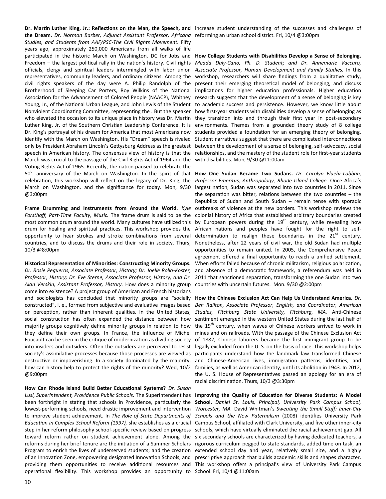Dr. Martin Luther King, Jr.: Reflections on the Man, the Speech, and increase student understanding of the successes and challenges of **the Dream.** *Dr. Norman Barber, Adjunct Assistant Professor, Africana*  reforming an urban school district. Fri, 10/4 @3:00pm *Studies, and Students from AAF/PSC-The Civil Rights Movement.* Fifty years ago, approximately 250,000 Americans from all walks of life participated in the historic March on Washington, DC for Jobs and Freedom – the largest political rally in the nation's history. Civil rights officials, clergy and spiritual leaders intermingled with labor union representatives, community leaders, and ordinary citizens. Among the civil rights speakers of the day were A. Philip Randolph of the Brotherhood of Sleeping Car Porters, Roy Wilkins of the National Association for the Advancement of Colored People (NAACP), Whitney Young, Jr., of the National Urban League, and John Lewis of the Student Nonviolent Coordinating Committee, representing the . But the speaker who elevated the occasion to its unique place in history was Dr. Martin Luther King, Jr. of the Southern Christian Leadership Conference. It is Dr. King's portrayal of his dream for America that most Americans now identify with the March on Washington. His "Dream" speech is rivaled only by President Abraham Lincoln's Gettysburg Address as the greatest speech in American history. The consensus view of history is that the March was crucial to the passage of the Civil Rights Act of 1964 and the Voting Rights Act of 1965. Recently, the nation paused to celebrate the 50<sup>th</sup> anniversary of the March on Washington. In the spirit of that celebration, this workshop will reflect on the legacy of Dr. King, the March on Washington, and the significance for today. Mon, 9/30 @3:00pm

**Frame Drumming and Instruments from Around the World.** *Kyle Forsthoff, Part-Time Faculty, Music.* The frame drum is said to be the most common drum around the world. Many cultures have utilized this drum for healing and spiritual practices. This workshop provides the opportunity to hear strokes and stroke combinations from several countries, and to discuss the drums and their role in society. Thurs, 10/3 @8:00pm

**Historical Representation of Minorities: Constructing Minority Groups.** 

*Dr. Rosie Pegueros, Associate Professor, History; Dr. Joelle Rollo-Koster, Professor, History; Dr. Eve Sterne, Associate Professor, History; and Dr. Alan Verskin, Assistant Professor, History.* How does a minority group come into existence? A project group of American and French historians and sociologists has concluded that minority groups are "socially constructed", i. e., formed from subjective and evaluative images based on perception, rather than inherent qualities. In the United States, social construction has often expanded the distance between how majority groups cognitively define minority groups in relation to how they define their own groups. In France, the influence of Michel Foucault can be seen in the critique of modernization as dividing society into insiders and outsiders. Often the outsiders are perceived to resist society's assimilative processes because those processes are viewed as destructive or impoverishing. In a society dominated by the majority, how can history help to protect the rights of the minority? Wed, 10/2 @9:00pm

**How Can Rhode Island Build Better Educational Systems?** *Dr. Susan Lusi, Superintendent, Providence Public Schools.* The Superintendent has been forthright in stating that schools in Providence, particularly the lowest-performing schools, need drastic improvement and intervention to improve student achievement. In *The Role of State Departments of Education in Complex School Reform (1997),* she establishes as a crucial step in her reform philosophy school-specific review based on progress toward reform rather on student achievement alone. Among the reforms during her brief tenure are the initiation of a Summer Scholars Program to enrich the lives of underserved students; and the creation of an Innovation Zone, empowering designated Innovation Schools, and providing them opportunities to receive additional resources and operational flexibility. This workshop provides an opportunity to

**How College Students with Disabilities Develop a Sense of Belonging.**  *Meada Daly-Cano, Ph. D. Student; and Dr. Annemarie Vaccaro, Associate Professor, Human Development and Family Studies.* In this workshop, researchers will share findings from a qualitative study, present their emerging theoretical model of belonging, and discuss implications for higher education professionals. Higher education research suggests that the development of a sense of belonging is key to academic success and persistence. However, we know little about how first-year students with disabilities develop a sense of belonging as they transition into and through their first year in post-secondary environments. Themes from a grounded theory study of 8 college students provided a foundation for an emerging theory of belonging. Student narratives suggest that there are complicated interconnections between the development of a sense of belonging, self-advocacy, social relationships, and the mastery of the student role for first-year students with disabilities. Mon, 9/30 @11:00am

**How One Sudan Became Two Sudans.** *Dr. Carolyn Fluehr-Lobban, Professor Emeritus, Anthropology, Rhode Island College.* Once Africa's largest nation, Sudan was separated into two countries in 2011. Since the separation was bitter, relations between the two countries – the Republics of Sudan and South Sudan – remain tense with sporadic outbreaks of violence at the new borders. This workshop reviews the colonial history of Africa that established arbitrary boundaries created by European powers during the  $19<sup>th</sup>$  century, while revealing how African nations and peoples have fought for the right to selfdetermination to realign these boundaries in the  $21<sup>st</sup>$  century. Nonetheless, after 22 years of civil war, the old Sudan had multiple opportunities to remain united. In 2005, the Comprehensive Peace agreement offered a final opportunity to reach a unified settlement. When efforts failed because of chronic militarism, religious polarization, and absence of a democratic framework, a referendum was held in 2011 that sanctioned separation, transforming the one Sudan into two countries with uncertain futures. Mon. 9/30 @2:00pm

**How the Chinese Exclusion Act Can Help Us Understand America.** *Dr. Ben Railton, Associate Professor, English, and Coordinator, American Studies, Fitchburg State University, Fitchburg, MA.* Anti-Chinese sentiment emerged in the western United States during the last half of the  $19<sup>th</sup>$  century, when waves of Chinese workers arrived to work in mines and on railroads. With the passage of the Chinese Exclusion Act of 1882, Chinese laborers became the first immigrant group to be legally excluded from the U. S. on the basis of race. This workshop helps participants understand how the landmark law transformed Chinese and Chinese-American lives, immigration patterns, identities, and families, as well as American identity, until its abolition in 1943. In 2012, the U. S. House of Representatives passed an apology for an era of racial discrimination. Thurs, 10/3 @3:30pm

**Improving the Quality of Education for Diverse Students: A Model School.** *Daniel St. Louis, Principal, University Park Campus School, Worcester, MA.* David Whitman's *Sweating the Small Stuff: Inner-City Schools and the New Paternalism* (2008) identifies University Park Campus School, affiliated with Clark University, and five other inner-city schools, which have virtually eliminated the racial achievement gap. All six secondary schools are characterized by having dedicated teachers, a rigorous curriculum pegged to state standards, added time on task, an extended school day and year, relatively small size, and a highly prescriptive approach that builds academic skills and shapes character. This workshop offers a principal's view of University Park Campus School. Fri, 10/4 @11:00am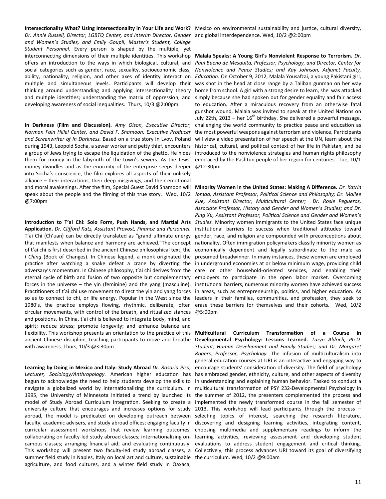Intersectionality What? Using Intersectionality in Your Life and Work? Mexico on environmental sustainability and justice, cultural diversity, *Dr. Annie Russell, Director, LGBTQ Center, and Interim Director, Gender*  and global interdependence. Wed, 10/2 @2:00pm *and Women's Studies, and Emily Goupil, Master's Student, College Student Personnel.* Every person is shaped by the multiple, yet interconnecting dimensions of their multiple identities. This workshop offers an introduction to the ways in which biological, cultural, and social categories such as gender, race, sexuality, socioeconomic class, ability, nationality, religion, and other axes of identity interact on multiple and simultaneous levels. Participants will develop their thinking around understanding and applying intersectionality theory and multiple identities; understanding the matrix of oppression; and developing awareness of social inequalities. Thurs, 10/3 @2:00pm

**In Darkness (Film and Discussion).** *Amy Olson, Executive Director, Norman Fain Hillel Center, and David F. Shamoon, Executive Producer and Screenwriter of In Darkness.* Based on a true story in Lvov, Poland during 1943, Leopold Socha, a sewer worker and petty thief, encounters a group of Jews trying to escape the liquidation of the ghetto. He hides them for money in the labyrinth of the town's sewers. As the Jews' money dwindles and as the enormity of the enterprise seeps deeper into Socha's conscience, the film explores all aspects of their unlikely alliance – their interactions, their deep misgivings, and their emotional and moral awakenings. After the film, Special Guest David Shamoon will speak about the people and the filming of this true story. Wed, 10/2 @7:00pm

**Introduction to T'ai Chi: Solo Form, Push Hands, and Martial Arts Application.** *Dr. Clifford Katz, Assistant Provost, Finance and Personnel.* T'ai Chi (Ch'uan) can be directly translated as "grand ultimate energy that manifests when balance and harmony are achieved."The concept of t'ai chi is first described in the ancient Chinese philosophical text, the *I Ching* (Book of Changes). In Chinese legend, a monk originated the practice after watching a snake defeat a crane by diverting the adversary's momentum. In Chinese philosophy, t'ai chi derives from the eternal cycle of birth and fusion of two opposite but complementary forces in the universe – the yin (feminine) and the yang (masculine). Practitioners of t'ai chi use movement to direct the yin and yang forces so as to connect to chi, or life energy. Popular in the West since the 1980's, the practice employs flowing, rhythmic, deliberate, often circular movements, with control of the breath, and ritualized stances and positions. In China, t'ai chi is believed to integrate body, mind, and spirit; reduce stress; promote longevity; and enhance balance and flexibility. This workshop presents an orientation to the practice of this ancient Chinese discipline, teaching participants to move and breathe with awareness. Thurs, 10/3 @3:30pm

**Learning by Doing in Mexico and Italy: Study Abroad** *Dr. Rosaria Pisa, Lecturer, Sociology/Anthropology.* American higher education has begun to acknowledge the need to help students develop the skills to navigate a globalized world by internationalizing the curriculum. In 1995, the University of Minnesota initiated a trend by launched its model of Study Abroad Curriculum Integration. Seeking to create a university culture that encourages and increases options for study abroad, the model is predicated on developing outreach between faculty, academic advisers, and study abroad offices; engaging faculty in curricular assessment workshops that review learning outcomes; collaborating on faculty-led study abroad classes; internationalizing oncampus classes; arranging financial aid; and evaluating continuously. summer field study in Naples, Italy on local art and culture, sustainable the curriculum. Wed, 10/2 @9:00amagriculture, and food cultures, and a winter field study in Oaxaca,

**Malala Speaks: A Young Girl's Nonviolent Response to Terrorism.** *Dr. Paul Bueno de Mesquita, Professor, Psychology, and Director, Center for Nonviolence and Peace Studies; and Kay Johnson, Adjunct Faculty, Education.* On October 9, 2012, Malala Yousafzai, a young Pakistani girl, was shot in the head at close range by a Taliban gunman on her way home from school. A girl with a strong desire to learn, she was attacked simply because she had spoken out for gender equality and fair access to education. After a miraculous recovery from an otherwise fatal gunshot wound, Malala was invited to speak at the United Nations on July 22th, 2013 – her  $16^{th}$  birthday. She delivered a powerful message, challenging the world community to practice peace and education as the most powerful weapons against terrorism and violence. Participants will view a video presentation of her speech at the UN, learn about the historical, cultural, and political context of her life in Pakistan, and be introduced to the nonviolence strategies and human rights philosophy embraced by the Pashtun people of her region for centuries. Tue, 10/1 @12:30pm

**Minority Women in the United States: Making A Difference.** *Dr. Katrin Jomaa, Assistant Professor, Political Science and Philosophy; Dr. Mailee Kue, Assistant Director, Multicultural Center; Dr. Rosie Pegueros, Associate Professor, History and Gender and Women's Studies; and Dr. Ping Xu, Assistant Professor, Political Science and Gender and Women's Studies.* Minority women immigrants to the United States face unique institutional barriers to success when traditional attitudes toward gender, race, and religion are compounded with preconceptions about nationality. Often immigration policymakers classify minority women as economically dependent and legally subordinate to the male as presumed breadwinner. In many instances, these women are employed in underground economies at or below minimum wage, providing child care or other household-oriented services, and enabling their employers to participate in the open labor market. Overcoming institutional barriers, numerous minority women have achieved success in areas, such as entrepreneurship, politics, and higher education. As leaders in their families, communities, and profession, they seek to erase these barriers for themselves and their cohorts. Wed, 10/2 @5:00pm

This workshop will present two faculty-led study abroad classes, a Collectively, this process advances URI toward its goal of diversifying **Multicultural Curriculum Transformation of a Course in Developmental Psychology: Lessons Learned.** *Taryn Aldrich, Ph.D. Student, Human Development and Family Studies; and Dr. Margaret Rogers, Professor, Psychology.* The infusion of multiculturalism into general education courses at URI is an interactive and engaging way to encourage students' consideration of diversity. The field of psychology has embraced gender, ethnicity, culture, and other aspects of diversity in understanding and explaining human behavior. Tasked to conduct a multicultural transformation of PSY 232-Developmental Psychology in the summer of 2012, the presenters complemented the process and implemented the newly transformed course in the fall semester of 2013. This workshop will lead participants through the process – selecting topics of interest, searching the research literature, discovering and designing learning activities, integrating content, choosing multimedia and supplementary readings to inform the learning activities, reviewing assessment and developing student evaluations to address student engagement and critical thinking.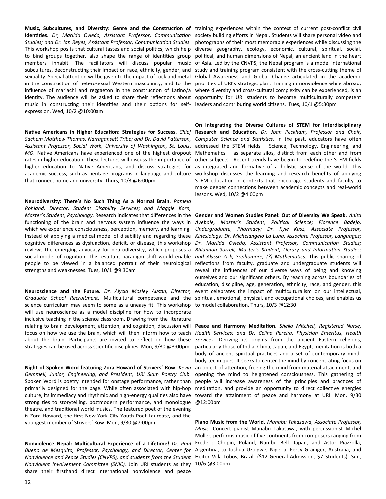to bind groups together, also shape the range of identities group members inhabit. The facilitators will discuss popular music subcultures, deconstructing their impact on race, ethnicity, gender, and sexuality. Special attention will be given to the impact of rock and metal in the construction of heterosexual Western masculinity, and to the influence of mariachi and reggaeton in the construction of Latino/a music in constructing their identities and their options for self- leaders and contributing world citizens. Tues, 10/1 @5:30pm expression. Wed, 10/2 @10:00am

Native Americans in Higher Education: Strategies for Success. Chief Research and Education. Dr. Joan Peckham, Professor and Chair, Sachem Matthew Thomas, Narragansett Tribe; and Dr. David Patterson, Computer Science and Statistics. In the past, educators have often *Assistant Professor, Social Work, University of Washington, St. Louis*, MO. Native Americans have experienced one of the highest dropout Mathematics - as separate silos, distinct from each other and from rates in higher education. These lectures will discuss the importance of other subjects. Recent trends have begun to redefine the STEM fields higher education to Native Americans, and discuss strategies for academic success, such as heritage programs in language and culture workshop discusses the learning and research benefits of applying that connect home and university. Thurs, 10/3 @6:00pm

**Neurodiversity: There's No Such Thing As a Normal Brain.** *Pamela Rohland, Director, Student Disability Services; and Maggie Korn, Master's Student, Psychology.* Research indicates that differences in the functioning of the brain and nervous system influence the ways in which we experience consciousness, perception, memory, and learning. Instead of applying a medical model of disability and regarding these cognitive differences as dysfunction, deficit, or disease, this workshop reviews the emerging advocacy for neurodiversity, which proposes a social model of cognition. The resultant paradigm shift would enable people to be viewed in a balanced portrait of their neurological strengths and weaknesses. Tues, 10/1 @9:30am

**Neuroscience and the Future.** *Dr. Alycia Mosley Austin, Director, Graduate School Recruitment.* Multicultural competence and the science curriculum may seem to some as a uneasy fit. This workshop will use neuroscience as a model discipline for how to incorporate inclusive teaching in the science classroom. Drawing from the literature relating to brain development, attention, and cognition, discussion will focus on how we use the brain, which will then inform how to teach about the brain. Participants are invited to reflect on how these strategies can be used across scientific disciplines. Mon, 9/30 @3:00pm

**Night of Spoken Word featuring Zora Howard of Strivers' Row**. *Kevin Gemmell, Junior, Engineering, and President, URI Slam Poetry Club.*  Spoken Word is poetry intended for onstage performance, rather than primarily designed for the page. While often associated with hip-hop culture, its immediacy and rhythmic and high-energy qualities also have strong ties to storytelling, postmodern performance, and monologue theatre, and traditional world musics. The featured poet of the evening is Zora Howard, the first New York City Youth Poet Laureate, and the youngest member of Strivers' Row. Mon, 9/30 @7:00pm

**Nonviolence Nepal: Multicultural Experience of a Lifetime!** *Dr. Paul Bueno de Mesquita, Professor, Psychology, and Director, Center for Nonviolence and Peace Studies (CNVPS), and students from the Student*  Heitor Villa-Lobos, Brazil. (\$12 General Admission, \$7 Students). Sun, *Nonviolent Involvement Committee (SNIC).* Join URI students as they 10/6 @3:00pmshare their firsthand direct international nonviolence and peace

**Music, Subcultures, and Diversity: Genre and the Construction of**  training experiences within the context of current post-conflict civil Identities. Dr, Marilda Oviedo, Assistant Professor, Communication society building efforts in Nepal. Students will share personal video and Studies; and Dr. Ian Reyes, Assistant Professor, Communication Studies. photographs of their most memorable experiences while discussing the This workshop posits that cultural tastes and social politics, which help diverse geography, ecology, economic, cultural, spiritual, social, identity. The audience will be asked to share their reflections about opportunity for URI students to become multiculturally competent political, and human dimensions of Nepal, an ancient land in the heart of Asia. Led by the CNVPS, the Nepal program is a model international study and training program consistent with the cross-cutting theme of Global Awareness and Global Change articulated in the academic priorities of URI's strategic plan. Training in nonviolence while abroad, where diversity and cross-cultural complexity can be experienced, is an

> **On Integrating the Diverse Cultures of STEM for Interdisciplinary**  addressed the STEM fields – Science, Technology, Engineering, and as integrated and formative of a holistic sense of the world. This STEM education in contexts that encourage students and faculty to make deeper connections between academic concepts and real-world lessons. Wed, 10/2 @4:00pm

> **Gender and Women Studies Panel: Out of Diversity We Speak.** *Anita Ayebale, Master's Student, Political Science; Florence Badejo, Undergraduate, Pharmacy; Dr. Kyle Kusz, Associate Professor, Kinesiology; Dr. Michelangelo La Luna, Associate Professor, Languages; Dr. Marilda Oviedo, Assistant Professor, Communication Studies; Rhiannon Sorrell, Master's Student, Library and Information Studies; and Alyssa Zisk, Sophomore, (?) Mathematics.* This public sharing of reflections from faculty, graduate and undergraduate students will reveal the influences of our diverse ways of being and knowing ourselves and our significant others. By reaching across boundaries of education, discipline, age, generation, ethnicity, race, and gender, this event celebrates the impact of multiculturalism on our intellectual, spiritual, emotional, physical, and occupational choices, and enables us to model collaboration. Thurs, 10/3 @12:30

> **Peace and Harmony Meditation.** *Sheila Mitchell, Registered Nurse, Health Services; and Dr. Celina Pereira, Physician Emeritus, Health Services.* Deriving its origins from the ancient Eastern religions, particularly those of India, China, Japan, and Egypt, meditation is both a body of ancient spiritual practices and a set of contemporary mindbody techniques. It seeks to center the mind by concentrating focus on an object of attention, freeing the mind from material attachment, and opening the mind to heightened consciousness. This gathering of people will increase awareness of the principles and practices of meditation, and provide an opportunity to direct collective energies toward the attainment of peace and harmony at URI. Mon. 9/30 @12:00pm

> **Piano Music from the World.** *Manabu Takasawa, Associate Professor, Music.* Concert pianist Manabu Takasawa, with percussionist Michel Muller, performs music of five continents from composers ranging from Frederic Chopin, Poland, Nambu Bell, Japan, and Astor Piazzolla, Argentina, to Joshua Uzoigwe, Nigeria, Percy Grainger, Australia, and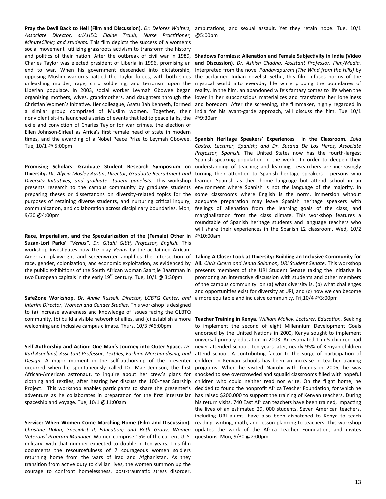**Pray the Devil Back to Hell (Film and Discussion)**. *Dr. Delores Walters,*  amputations, and sexual assault. Yet they retain hope. Tue, 10/1 *Associate Director, sriAHEC; Elaine Traub, Nurse Practitioner, MinuteClinic; and students.* This film depicts the success of a women's social movement utilizing grassroots activism to transform the history and politics of their nation. After the outbreak of civil war in 1989, Charles Taylor was elected president of Liberia in 1996, promising an end to war. When his government descended into dictatorship, opposing Muslim warlords battled the Taylor forces, with both sides unleashing murder, rape, child soldiering, and terrorism upon the Liberian populace. In 2003, social worker Leymah Gbowee began organizing mothers, wives, grandmothers, and daughters through the Christian Women's Initiative. Her colleague, Asatu Bah Kenneth, formed a similar group comprised of Muslim women. Together, their nonviolent sit-ins launched a series of events that led to peace talks, the exile and conviction of Charles Taylor for war crimes, the election of Ellen Johnson-Sirleaf as Africa's first female head of state in modern Tue, 10/1 @ 5:00pm

**Promising Scholars: Graduate Student Research Symposium on Diversity.** *Dr. Alycia Mosley Austin*, *Director, Graduate Recruitment and Diversity Initiatives; and graduate student panelists.* This workshop presents research to the campus community by graduate students preparing theses or dissertations on diversity-related topics for the purposes of retaining diverse students, and nurturing critical inquiry, communication, and collaboration across disciplinary boundaries. Mon, 9/30 @4:00pm

**Race, Imperialism, and the Specularization of the (Female) Other in Suzan-Lori Parks' "***Venus". Dr. Gitahi Gititi, Professor, English.* This workshop investigates how the play *Venus* by the acclaimed Africanrace, gender, colonization, and economic exploitation, as evidenced by the public exhibitions of the South African woman Saartjie Baartman in two European capitals in the early  $19^{th}$  century. Tue,  $10/1$  @ 3:30pm

**SafeZone Workshop.** *Dr. Annie Russell, Director, LGBTQ Center, and Interim Director, Women and Gender Studies.* This workshop is designed to (a) increase awareness and knowledge of issues facing the GLBTQ community, (b) build a visible network of allies, and (c) establish a more welcoming and inclusive campus climate. Thurs, 10/3 @6:00pm

**Self-Authorship and Action: One Man's Journey into Outer Space.** *Dr. Karl Aspelund, Assistant Professor, Textiles, Fashion Merchandising, and Design.* A major moment in the self-authorship of the presenter occurred when he spontaneously called Dr. Mae Jemison, the first African-American astronaut, to inquire about her crew's plans for clothing and textiles, after hearing her discuss the 100-Year Starship Project. This workshop enables participants to share the presenter's adventure as he collaborates in preparation for the first interstellar spaceship and voyage. Tue, 10/1 @11:00am

**Service: When Women Come Marching Home (Film and Discussion).**  *Christine Dolan, Specialist II, Education; and Beth Grady, Women Veterans' Program Manager.* Women comprise 15% of the current U. S. questions. Mon, 9/30 @2:00pmmilitary, with that number expected to double in ten years. This film documents the resourcefulness of 7 courageous women soldiers returning home from the wars of Iraq and Afghanistan. As they transition from active duty to civilian lives, the women summon up the courage to confront homelessness, post-traumatic stress disorder,

@5:00pm

**Shadows Formless: Alienation and Female Subjectivity in India (Video and Discussion)***. Dr. Ashish Chadha, Assistant Professor, Film/Media.*  Interpreted from the novel *Pandavapuram (The Wind from the Hills)* by the acclaimed Indian novelist Sethu, this film infuses norms of the mystical world into everyday life while probing the boundaries of reality. In the film, an abandoned wife's fantasy comes to life when the lover in her subconscious materializes and transforms her loneliness and boredom. After the screening, the filmmaker, highly regarded in India for his avant-garde approach, will discuss the film. Tue 10/1 @9:30am

times, and the awarding of a Nobel Peace Prize to Leymah Gbowee. Spanish Heritage Speakers' Experiences in the Classroom. Zoila *Castro, Lecturer, Spanish; and Dr. Susana De Los Heros, Associate Professor, Spanish.* The United States now has the fourth-largest Spanish-speaking population in the world. In order to deepen their understanding of teaching and learning, researchers are increasingly turning their attention to Spanish heritage speakers - persons who learned Spanish as their home language but attend school in an environment where Spanish is not the language of the majority. In some classrooms where English is the norm, immersion without adequate preparation may leave Spanish heritage speakers with feelings of alienation from the learning goals of the class, and marginalization from the class climate. This workshop features a roundtable of Spanish heritage students and language teachers who will share their experiences in the Spanish L2 classroom. Wed, 10/2 @10:00am

American playwright and screenwriter amplifies the intersection of **Taking A Closer Look at Diversity: Building an Inclusive Community for All.** *Chris Cicero and Jenna Solomon, URI Student Senate.* This workshop presents members of the URI Student Senate taking the initiative in promoting an interactive discussion with students and other members of the campus community on (a) what diversity is, (b) what challenges and opportunities exist for diversity at URI, and (c) how we can become a more equitable and inclusive community. Fri,10/4 @3:00pm

> **Teacher Training in Kenya.** *William Molloy, Lecturer, Education.* Seeking to implement the second of eight Millennium Development Goals endorsed by the United Nations in 2000, Kenya sought to implement universal primary education in 2003. An estimated 1 in 5 children had never attended school. Ten years later, nearly 95% of Kenyan children attend school. A contributing factor to the surge of participation of children in Kenyan schools has been an increase in teacher training programs. When he visited Nairobi with friends in 2006, he was shocked to see overcrowded and squalid classrooms filled with hopeful children who could neither read nor write. On the flight home, he decided to found the nonprofit Africa Teacher Foundation, for which he has raised \$200,000 to support the training of Kenyan teachers. During his return visits, 740 East African teachers have been trained, impacting the lives of an estimated 29, 000 students. Seven American teachers, including URI alums, have also been dispatched to Kenya to teach reading, writing, math, and lesson planning to teachers. This workshop updates the work of the Africa Teacher Foundation, and invites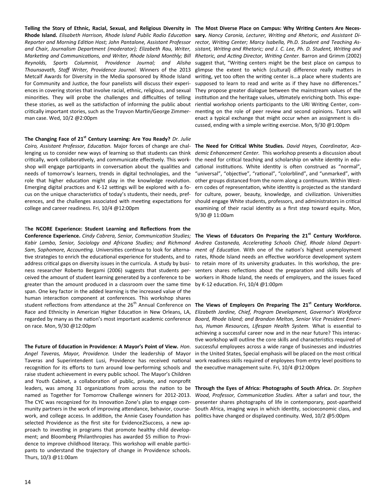Telling the Story of Ethnic, Racial, Sexual, and Religious Diversity in The Most Diverse Place on Campus: Why Writing Centers Are Neces-**Rhode Island.** *Elisabeth Harrison, Rhode Island Public Radio Education*  **sary.** *Nancy Caronia, Lecturer, Writing and Rhetoric, and Assistant Di-*Reporter and Morning Edition Host; John Pantalone, Assistant Professor rector, Writing Center; Marcy Isabella, Ph.D. Student and Teaching Asand Chair, Journalism Department (moderator); Elizabeth Rau, Writer, sistant, Writing and Rhetoric; and J. C. Lee, Ph. D. Student, Writing and *Marketing and Communications, and Writer, Rhode Island Monthly; Bill Reynolds, Sports Columnist, Providence Journal; and Alisha Thounsavath, Staff Writer, Providence Journal.* Winners of the 2013 Metcalf Awards for Diversity in the Media sponsored by Rhode Island for Community and Justice, the four panelists will discuss their experiences in covering stories that involve racial, ethnic, religious, and sexual minorities. They will probe the challenges and difficulties of telling these stories, as well as the satisfaction of informing the public about critically important stories, such as the Trayvon Martin/George Zimmerman case. Wed, 10/2 @2:00pm

**The Changing Face of 21st Century Learning: Are You Ready?** *Dr. Julie Coiro, Assistant Professor, Education.* Major forces of change are challenging us to consider new ways of learning so that students can think critically, work collaboratively, and communicate effectively. This workshop will engage participants in conversation about the qualities and needs of tomorrow's learners, trends in digital technologies, and the role that higher education might play in the knowledge revolution. Emerging digital practices and K-12 settings will be explored with a focus on the unique characteristics of today's students, their needs, preferences, and the challenges associated with meeting expectations for college and career readiness. Fri, 10/4 @12:00pm

T**he NCORE Experience: Student Learning and Reflections from the Conference Experience.** *Cindy Cabrera, Senior, Communication Studies; Kabir Lambo, Senior, Sociology and Africana Studies; and Richmond Sam, Sophomore, Accounting.* Universities continue to look for alternative strategies to enrich the educational experience for students, and to address critical gaps on diversity issues in the curricula. A study by business researcher Roberto Bergami (2006) suggests that students perceived the amount of student learning generated by a conference to be greater than the amount produced in a classroom over the same time span. One key factor in the added learning is the increased value of the human interaction component at conferences. This workshop shares student reflections from attendance at the 26<sup>th</sup> Annual Conference on Race and Ethnicity in American Higher Education in New Orleans, LA, regarded by many as the nation's most important academic conference on race. Mon, 9/30 @12:00pm

**The Future of Education in Providence: A Mayor's Point of View.** *Hon. Angel Taveras, Mayor, Providence.* Under the leadership of Mayor Taveras and Superintendent Lusi, Providence has received national recognition for its efforts to turn around low-performing schools and raise student achievement in every public school. The Mayor's Children and Youth Cabinet, a collaboration of public, private, and nonprofit leaders, was among 31 organizations from across the nation to be named as Together for Tomorrow Challenge winners for 2012-2013. The CYC was recognized for its Innovation Zone's plan to engage community partners in the work of improving attendance, behavior, coursework, and college access. In addition, the Annie Casey Foundation has selected Providence as the first site for Evidence2Success, a new approach to investing in programs that promote healthy child development; and Bloomberg Philanthropies has awarded \$5 million to Providence to improve childhood literacy. This workshop will enable participants to understand the trajectory of change in Providence schools. Thurs, 10/3 @11:00am

*Rhetoric, and Acting Director, Writing Center.* Barron and Grimm (2002) suggest that, "Writing centers might be the best place on campus to glimpse the extent to which (cultural) difference really matters in writing, yet too often the writing center is…a place where students are supposed to learn to read and write as if they have no differences." They propose greater dialogue between the mainstream values of the institution and the heritage values, ultimately enriching both. This experiential workshop orients participants to the URI Writing Center, commenting on the role of peer review and second opinions. Tutors will enact a typical exchange that might occur when an assignment is discussed, ending with a simple writing exercise. Mon, 9/30 @1:00pm

**The Need for Critical White Studies.** *David Hayes, Coordinator, Academic Enhancement Center.* This workshop presents a discussion about the need for critical teaching and scholarship on white identity in educational institutions. White identity is often construed as "normal", "universal", "objective", "rational", "colorblind", and "unmarked", with other groups distanced from the norm along a continuum. Within Western codes of representation, white identity is projected as the standard for culture, power, beauty, knowledge, and civilization. Universities should engage White students, professors, and administrators in critical examining of their racial identity as a first step toward equity. Mon, 9/30 @ 11:00am

**The Views of Educators On Preparing the 21st Century Workforce.**  *Andrea Castaneda, Accelerating Schools Chief, Rhode Island Department of Education.* With one of the nation's highest unemployment rates, Rhode Island needs an effective workforce development system to retain more of its university graduates. In this workshop, the presenters shares reflections about the preparation and skills levels of workers in Rhode Island, the needs of employers, and the issues faced by K-12 education. Fri, 10/4 @1:00pm

**The Views of Employers On Preparing The 21st Century Workforce.**  *Elizabeth Jardine, Chief, Program Development, Governor's Workforce Board, Rhode Island; and Brandon Melton, Senior Vice President Emeritus, Human Resources, Lifespan Health System.* What is essential to achieving a successful career now and in the near future? This interactive workshop will outline the core skills and characteristics required of successful employees across a wide range of businesses and industries in the United States, Special emphasis will be placed on the most critical work readiness skills required of enployees from entry level positions to the executive management suite. Fri, 10/4 @12:00pm

**Through the Eyes of Africa: Photographs of South Africa.** *Dr. Stephen Wood, Professor, Communication Studies.* After a safari and tour, the presenter shares photographs of life in contemporary, post-apartheid South Africa, imaging ways in which identity, socioeconomic class, and politics have changed or displayed continuity. Wed, 10/2 @5:00pm